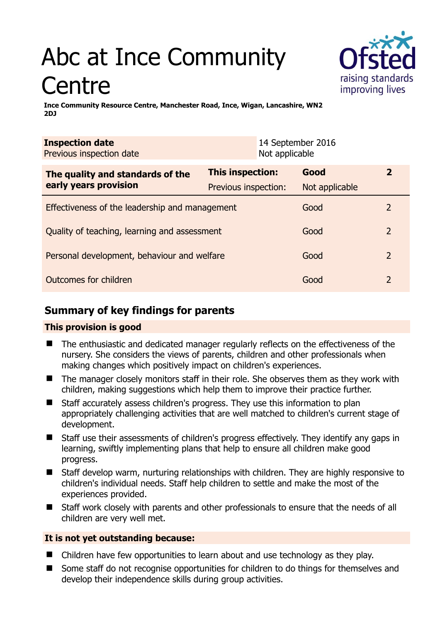# Abc at Ince Community **Centre**



**Ince Community Resource Centre, Manchester Road, Ince, Wigan, Lancashire, WN2 2DJ** 

| <b>Inspection date</b><br>Previous inspection date        | Not applicable       | 14 September 2016 |                |
|-----------------------------------------------------------|----------------------|-------------------|----------------|
| The quality and standards of the<br>early years provision | This inspection:     | Good              | $\mathbf{2}$   |
|                                                           | Previous inspection: | Not applicable    |                |
| Effectiveness of the leadership and management            |                      | Good              | 2              |
| Quality of teaching, learning and assessment              |                      | Good              | $\overline{2}$ |
| Personal development, behaviour and welfare               |                      | Good              | $\overline{2}$ |
| Outcomes for children                                     |                      | Good              | $\mathcal{P}$  |

# **Summary of key findings for parents**

## **This provision is good**

- The enthusiastic and dedicated manager regularly reflects on the effectiveness of the nursery. She considers the views of parents, children and other professionals when making changes which positively impact on children's experiences.
- The manager closely monitors staff in their role. She observes them as they work with children, making suggestions which help them to improve their practice further.
- Staff accurately assess children's progress. They use this information to plan appropriately challenging activities that are well matched to children's current stage of development.
- Staff use their assessments of children's progress effectively. They identify any gaps in learning, swiftly implementing plans that help to ensure all children make good progress.
- Staff develop warm, nurturing relationships with children. They are highly responsive to children's individual needs. Staff help children to settle and make the most of the experiences provided.
- Staff work closely with parents and other professionals to ensure that the needs of all children are very well met.

## **It is not yet outstanding because:**

- Children have few opportunities to learn about and use technology as they play.
- Some staff do not recognise opportunities for children to do things for themselves and develop their independence skills during group activities.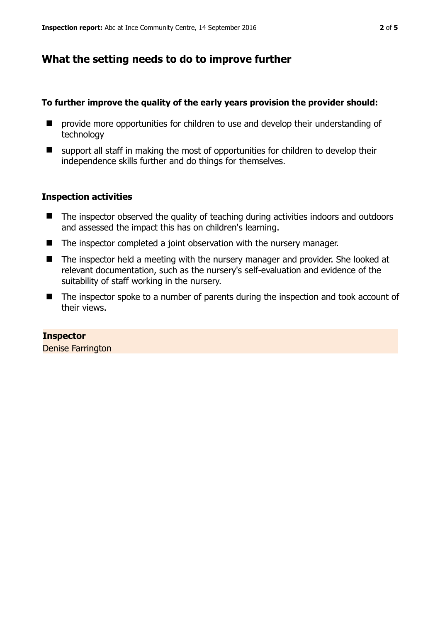## **What the setting needs to do to improve further**

#### **To further improve the quality of the early years provision the provider should:**

- **P** provide more opportunities for children to use and develop their understanding of technology
- support all staff in making the most of opportunities for children to develop their independence skills further and do things for themselves.

## **Inspection activities**

- The inspector observed the quality of teaching during activities indoors and outdoors and assessed the impact this has on children's learning.
- The inspector completed a joint observation with the nursery manager.
- The inspector held a meeting with the nursery manager and provider. She looked at relevant documentation, such as the nursery's self-evaluation and evidence of the suitability of staff working in the nursery.
- The inspector spoke to a number of parents during the inspection and took account of their views.

**Inspector**  Denise Farrington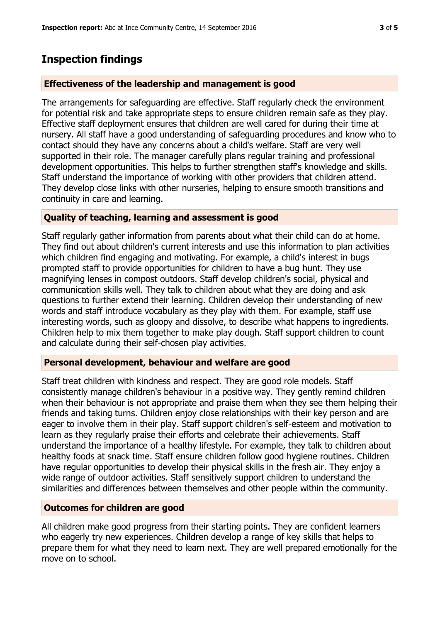## **Inspection findings**

## **Effectiveness of the leadership and management is good**

The arrangements for safeguarding are effective. Staff regularly check the environment for potential risk and take appropriate steps to ensure children remain safe as they play. Effective staff deployment ensures that children are well cared for during their time at nursery. All staff have a good understanding of safeguarding procedures and know who to contact should they have any concerns about a child's welfare. Staff are very well supported in their role. The manager carefully plans regular training and professional development opportunities. This helps to further strengthen staff's knowledge and skills. Staff understand the importance of working with other providers that children attend. They develop close links with other nurseries, helping to ensure smooth transitions and continuity in care and learning.

## **Quality of teaching, learning and assessment is good**

Staff regularly gather information from parents about what their child can do at home. They find out about children's current interests and use this information to plan activities which children find engaging and motivating. For example, a child's interest in bugs prompted staff to provide opportunities for children to have a bug hunt. They use magnifying lenses in compost outdoors. Staff develop children's social, physical and communication skills well. They talk to children about what they are doing and ask questions to further extend their learning. Children develop their understanding of new words and staff introduce vocabulary as they play with them. For example, staff use interesting words, such as gloopy and dissolve, to describe what happens to ingredients. Children help to mix them together to make play dough. Staff support children to count and calculate during their self-chosen play activities.

## **Personal development, behaviour and welfare are good**

Staff treat children with kindness and respect. They are good role models. Staff consistently manage children's behaviour in a positive way. They gently remind children when their behaviour is not appropriate and praise them when they see them helping their friends and taking turns. Children enjoy close relationships with their key person and are eager to involve them in their play. Staff support children's self-esteem and motivation to learn as they regularly praise their efforts and celebrate their achievements. Staff understand the importance of a healthy lifestyle. For example, they talk to children about healthy foods at snack time. Staff ensure children follow good hygiene routines. Children have regular opportunities to develop their physical skills in the fresh air. They enjoy a wide range of outdoor activities. Staff sensitively support children to understand the similarities and differences between themselves and other people within the community.

## **Outcomes for children are good**

All children make good progress from their starting points. They are confident learners who eagerly try new experiences. Children develop a range of key skills that helps to prepare them for what they need to learn next. They are well prepared emotionally for the move on to school.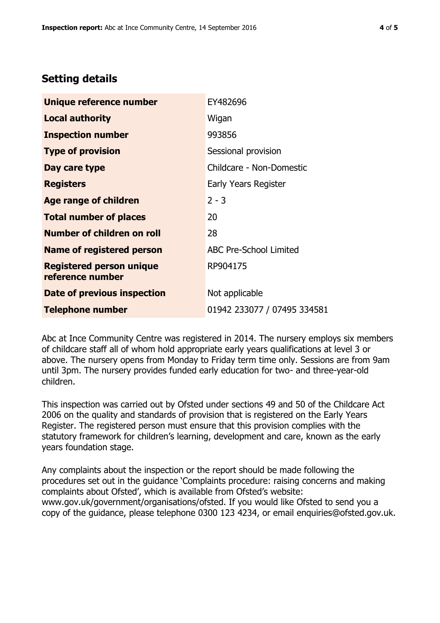## **Setting details**

| Unique reference number                             | EY482696                      |
|-----------------------------------------------------|-------------------------------|
| <b>Local authority</b>                              | Wigan                         |
| <b>Inspection number</b>                            | 993856                        |
| <b>Type of provision</b>                            | Sessional provision           |
| Day care type                                       | Childcare - Non-Domestic      |
| <b>Registers</b>                                    | Early Years Register          |
| <b>Age range of children</b>                        | $2 - 3$                       |
| <b>Total number of places</b>                       | 20                            |
| Number of children on roll                          | 28                            |
| Name of registered person                           | <b>ABC Pre-School Limited</b> |
| <b>Registered person unique</b><br>reference number | RP904175                      |
| Date of previous inspection                         | Not applicable                |
| <b>Telephone number</b>                             | 01942 233077 / 07495 334581   |

Abc at Ince Community Centre was registered in 2014. The nursery employs six members of childcare staff all of whom hold appropriate early years qualifications at level 3 or above. The nursery opens from Monday to Friday term time only. Sessions are from 9am until 3pm. The nursery provides funded early education for two- and three-year-old children.

This inspection was carried out by Ofsted under sections 49 and 50 of the Childcare Act 2006 on the quality and standards of provision that is registered on the Early Years Register. The registered person must ensure that this provision complies with the statutory framework for children's learning, development and care, known as the early years foundation stage.

Any complaints about the inspection or the report should be made following the procedures set out in the guidance 'Complaints procedure: raising concerns and making complaints about Ofsted', which is available from Ofsted's website: www.gov.uk/government/organisations/ofsted. If you would like Ofsted to send you a copy of the guidance, please telephone 0300 123 4234, or email enquiries@ofsted.gov.uk.